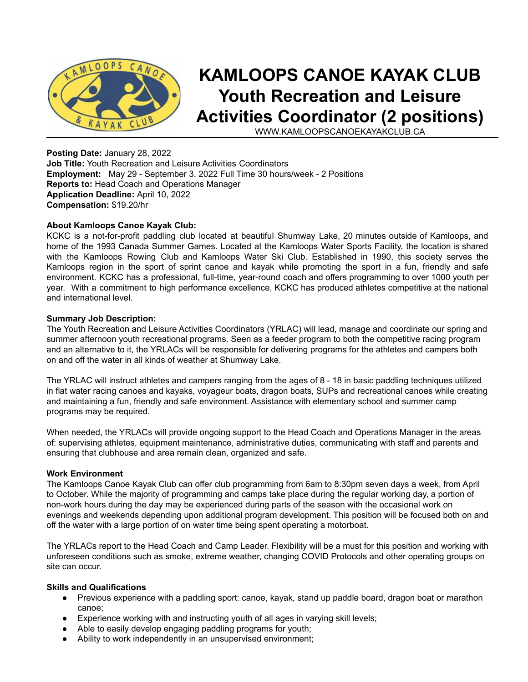

# **KAMLOOPS CANOE KAYAK CLUB Youth Recreation and Leisure Activities Coordinator (2 positions)**

WWW.KAMLOOPSCANOEKAYAKCLUB.CA

**Posting Date:** January 28, 2022 **Job Title:** Youth Recreation and Leisure Activities Coordinators **Employment:** May 29 - September 3, 2022 Full Time 30 hours/week - 2 Positions **Reports to:** Head Coach and Operations Manager **Application Deadline:** April 10, 2022 **Compensation:** \$19.20/hr

## **About Kamloops Canoe Kayak Club:**

KCKC is a not-for-profit paddling club located at beautiful Shumway Lake, 20 minutes outside of Kamloops, and home of the 1993 Canada Summer Games. Located at the Kamloops Water Sports Facility, the location is shared with the Kamloops Rowing Club and Kamloops Water Ski Club. Established in 1990, this society serves the Kamloops region in the sport of sprint canoe and kayak while promoting the sport in a fun, friendly and safe environment. KCKC has a professional, full-time, year-round coach and offers programming to over 1000 youth per year. With a commitment to high performance excellence, KCKC has produced athletes competitive at the national and international level.

## **Summary Job Description:**

The Youth Recreation and Leisure Activities Coordinators (YRLAC) will lead, manage and coordinate our spring and summer afternoon youth recreational programs. Seen as a feeder program to both the competitive racing program and an alternative to it, the YRLACs will be responsible for delivering programs for the athletes and campers both on and off the water in all kinds of weather at Shumway Lake.

The YRLAC will instruct athletes and campers ranging from the ages of 8 - 18 in basic paddling techniques utilized in flat water racing canoes and kayaks, voyageur boats, dragon boats, SUPs and recreational canoes while creating and maintaining a fun, friendly and safe environment. Assistance with elementary school and summer camp programs may be required.

When needed, the YRLACs will provide ongoing support to the Head Coach and Operations Manager in the areas of: supervising athletes, equipment maintenance, administrative duties, communicating with staff and parents and ensuring that clubhouse and area remain clean, organized and safe.

## **Work Environment**

The Kamloops Canoe Kayak Club can offer club programming from 6am to 8:30pm seven days a week, from April to October. While the majority of programming and camps take place during the regular working day, a portion of non-work hours during the day may be experienced during parts of the season with the occasional work on evenings and weekends depending upon additional program development. This position will be focused both on and off the water with a large portion of on water time being spent operating a motorboat.

The YRLACs report to the Head Coach and Camp Leader. Flexibility will be a must for this position and working with unforeseen conditions such as smoke, extreme weather, changing COVID Protocols and other operating groups on site can occur.

# **Skills and Qualifications**

- Previous experience with a paddling sport: canoe, kayak, stand up paddle board, dragon boat or marathon canoe;
- Experience working with and instructing youth of all ages in varying skill levels;
- Able to easily develop engaging paddling programs for youth;
- Ability to work independently in an unsupervised environment;